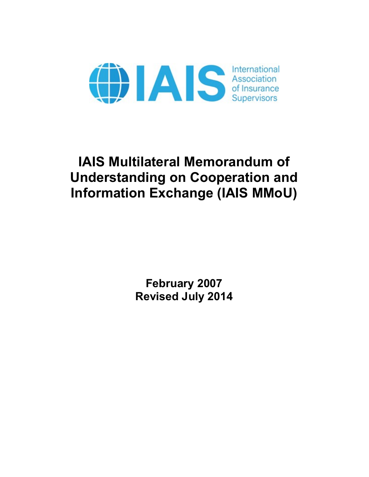

# IAIS Multilateral Memorandum of Understanding on Cooperation and Information Exchange (IAIS MMoU)

February 2007 Revised July 2014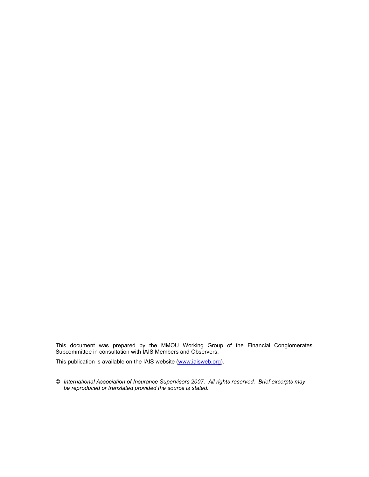This document was prepared by the MMOU Working Group of the Financial Conglomerates Subcommittee in consultation with IAIS Members and Observers.

This publication is available on the IAIS website (www.iaisweb.org).

© International Association of Insurance Supervisors 2007. All rights reserved. Brief excerpts may be reproduced or translated provided the source is stated.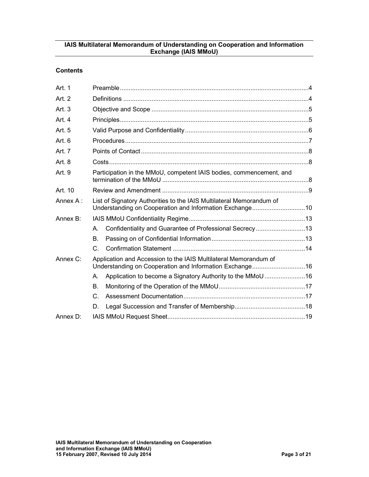#### IAIS Multilateral Memorandum of Understanding on Cooperation and Information Exchange (IAIS MMoU)

#### **Contents**

| Art. 1   |                                                                                                                                 |  |  |  |
|----------|---------------------------------------------------------------------------------------------------------------------------------|--|--|--|
| Art. $2$ |                                                                                                                                 |  |  |  |
| Art. $3$ |                                                                                                                                 |  |  |  |
| Art. $4$ |                                                                                                                                 |  |  |  |
| Art. 5   |                                                                                                                                 |  |  |  |
| Art $6$  |                                                                                                                                 |  |  |  |
| Art. 7   |                                                                                                                                 |  |  |  |
| Art. $8$ |                                                                                                                                 |  |  |  |
| Art. 9   | Participation in the MMoU, competent IAIS bodies, commencement, and                                                             |  |  |  |
| Art. 10  |                                                                                                                                 |  |  |  |
| Annex A: | List of Signatory Authorities to the IAIS Multilateral Memorandum of<br>Understanding on Cooperation and Information Exchange10 |  |  |  |
| Annex B: |                                                                                                                                 |  |  |  |
|          | Confidentiality and Guarantee of Professional Secrecy13<br>A.                                                                   |  |  |  |
|          | Β.                                                                                                                              |  |  |  |
|          | C.                                                                                                                              |  |  |  |
| Annex C: | Application and Accession to the IAIS Multilateral Memorandum of                                                                |  |  |  |
|          | Application to become a Signatory Authority to the MMoU16<br>А.                                                                 |  |  |  |
|          | В.                                                                                                                              |  |  |  |
|          | $C_{\cdot}$                                                                                                                     |  |  |  |
|          | D.                                                                                                                              |  |  |  |
| Annex D: |                                                                                                                                 |  |  |  |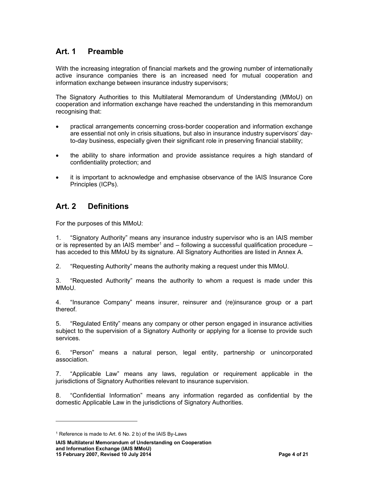## Art. 1 Preamble

With the increasing integration of financial markets and the growing number of internationally active insurance companies there is an increased need for mutual cooperation and information exchange between insurance industry supervisors;

The Signatory Authorities to this Multilateral Memorandum of Understanding (MMoU) on cooperation and information exchange have reached the understanding in this memorandum recognising that:

- practical arrangements concerning cross-border cooperation and information exchange are essential not only in crisis situations, but also in insurance industry supervisors' dayto-day business, especially given their significant role in preserving financial stability;
- the ability to share information and provide assistance requires a high standard of confidentiality protection; and
- it is important to acknowledge and emphasise observance of the IAIS Insurance Core Principles (ICPs).

## Art. 2 Definitions

For the purposes of this MMoU:

1. "Signatory Authority" means any insurance industry supervisor who is an IAIS member or is represented by an IAIS member<sup>1</sup> and – following a successful qualification procedure – has acceded to this MMoU by its signature. All Signatory Authorities are listed in Annex A.

2. "Requesting Authority" means the authority making a request under this MMoU.

3. "Requested Authority" means the authority to whom a request is made under this MMoU.

4. "Insurance Company" means insurer, reinsurer and (re)insurance group or a part thereof.

5. "Regulated Entity" means any company or other person engaged in insurance activities subject to the supervision of a Signatory Authority or applying for a license to provide such services.

6. "Person" means a natural person, legal entity, partnership or unincorporated association.

7. "Applicable Law" means any laws, regulation or requirement applicable in the jurisdictions of Signatory Authorities relevant to insurance supervision.

8. "Confidential Information" means any information regarded as confidential by the domestic Applicable Law in the jurisdictions of Signatory Authorities.

<sup>&</sup>lt;sup>1</sup> Reference is made to Art. 6 No. 2 b) of the IAIS By-Laws

IAIS Multilateral Memorandum of Understanding on Cooperation and Information Exchange (IAIS MMoU) 15 February 2007, Revised 10 July 2014 **Page 4 of 21** Page 4 of 21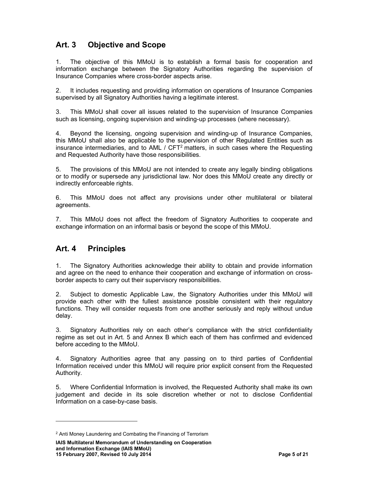# Art. 3 Objective and Scope

1. The objective of this MMoU is to establish a formal basis for cooperation and information exchange between the Signatory Authorities regarding the supervision of Insurance Companies where cross-border aspects arise.

2. It includes requesting and providing information on operations of Insurance Companies supervised by all Signatory Authorities having a legitimate interest.

3. This MMoU shall cover all issues related to the supervision of Insurance Companies such as licensing, ongoing supervision and winding-up processes (where necessary).

4. Beyond the licensing, ongoing supervision and winding-up of Insurance Companies, this MMoU shall also be applicable to the supervision of other Regulated Entities such as insurance intermediaries, and to AML /  $CFT<sup>2</sup>$  matters, in such cases where the Requesting and Requested Authority have those responsibilities.

5. The provisions of this MMoU are not intended to create any legally binding obligations or to modify or supersede any jurisdictional law. Nor does this MMoU create any directly or indirectly enforceable rights.

6. This MMoU does not affect any provisions under other multilateral or bilateral agreements.

7. This MMoU does not affect the freedom of Signatory Authorities to cooperate and exchange information on an informal basis or beyond the scope of this MMoU.

## Art. 4 Principles

1. The Signatory Authorities acknowledge their ability to obtain and provide information and agree on the need to enhance their cooperation and exchange of information on crossborder aspects to carry out their supervisory responsibilities.

2. Subject to domestic Applicable Law, the Signatory Authorities under this MMoU will provide each other with the fullest assistance possible consistent with their regulatory functions. They will consider requests from one another seriously and reply without undue delay.

3. Signatory Authorities rely on each other's compliance with the strict confidentiality regime as set out in Art. 5 and Annex B which each of them has confirmed and evidenced before acceding to the MMoU.

4. Signatory Authorities agree that any passing on to third parties of Confidential Information received under this MMoU will require prior explicit consent from the Requested Authority.

5. Where Confidential Information is involved, the Requested Authority shall make its own judgement and decide in its sole discretion whether or not to disclose Confidential Information on a case-by-case basis.

<sup>2</sup> Anti Money Laundering and Combating the Financing of Terrorism

IAIS Multilateral Memorandum of Understanding on Cooperation and Information Exchange (IAIS MMoU) 15 February 2007, Revised 10 July 2014 **Page 10** and 21 and 21 and 21 and 21 and 21 and 21 and 21 and 21 and 21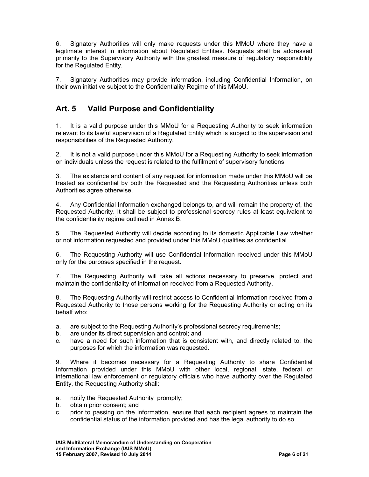6. Signatory Authorities will only make requests under this MMoU where they have a legitimate interest in information about Regulated Entities. Requests shall be addressed primarily to the Supervisory Authority with the greatest measure of regulatory responsibility for the Regulated Entity.

7. Signatory Authorities may provide information, including Confidential Information, on their own initiative subject to the Confidentiality Regime of this MMoU.

# Art. 5 Valid Purpose and Confidentiality

1. It is a valid purpose under this MMoU for a Requesting Authority to seek information relevant to its lawful supervision of a Regulated Entity which is subject to the supervision and responsibilities of the Requested Authority.

2. It is not a valid purpose under this MMoU for a Requesting Authority to seek information on individuals unless the request is related to the fulfilment of supervisory functions.

3. The existence and content of any request for information made under this MMoU will be treated as confidential by both the Requested and the Requesting Authorities unless both Authorities agree otherwise.

4. Any Confidential Information exchanged belongs to, and will remain the property of, the Requested Authority. It shall be subject to professional secrecy rules at least equivalent to the confidentiality regime outlined in Annex B.

5. The Requested Authority will decide according to its domestic Applicable Law whether or not information requested and provided under this MMoU qualifies as confidential.

6. The Requesting Authority will use Confidential Information received under this MMoU only for the purposes specified in the request.

7. The Requesting Authority will take all actions necessary to preserve, protect and maintain the confidentiality of information received from a Requested Authority.

8. The Requesting Authority will restrict access to Confidential Information received from a Requested Authority to those persons working for the Requesting Authority or acting on its behalf who:

- a. are subject to the Requesting Authority's professional secrecy requirements;
- b. are under its direct supervision and control; and
- c. have a need for such information that is consistent with, and directly related to, the purposes for which the information was requested.

9. Where it becomes necessary for a Requesting Authority to share Confidential Information provided under this MMoU with other local, regional, state, federal or international law enforcement or regulatory officials who have authority over the Regulated Entity, the Requesting Authority shall:

- a. notify the Requested Authority promptly;
- b. obtain prior consent; and
- c. prior to passing on the information, ensure that each recipient agrees to maintain the confidential status of the information provided and has the legal authority to do so.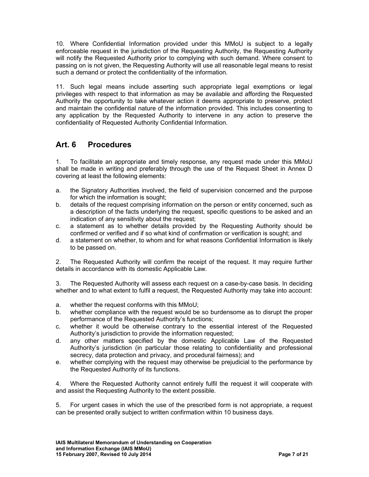10. Where Confidential Information provided under this MMoU is subject to a legally enforceable request in the jurisdiction of the Requesting Authority, the Requesting Authority will notify the Requested Authority prior to complying with such demand. Where consent to passing on is not given, the Requesting Authority will use all reasonable legal means to resist such a demand or protect the confidentiality of the information.

11. Such legal means include asserting such appropriate legal exemptions or legal privileges with respect to that information as may be available and affording the Requested Authority the opportunity to take whatever action it deems appropriate to preserve, protect and maintain the confidential nature of the information provided. This includes consenting to any application by the Requested Authority to intervene in any action to preserve the confidentiality of Requested Authority Confidential Information.

## Art. 6 Procedures

1. To facilitate an appropriate and timely response, any request made under this MMoU shall be made in writing and preferably through the use of the Request Sheet in Annex D covering at least the following elements:

- a. the Signatory Authorities involved, the field of supervision concerned and the purpose for which the information is sought;
- b. details of the request comprising information on the person or entity concerned, such as a description of the facts underlying the request, specific questions to be asked and an indication of any sensitivity about the request;
- c. a statement as to whether details provided by the Requesting Authority should be confirmed or verified and if so what kind of confirmation or verification is sought; and
- d. a statement on whether, to whom and for what reasons Confidential Information is likely to be passed on.

2. The Requested Authority will confirm the receipt of the request. It may require further details in accordance with its domestic Applicable Law.

3. The Requested Authority will assess each request on a case-by-case basis. In deciding whether and to what extent to fulfil a request, the Requested Authority may take into account:

- a. whether the request conforms with this MMoU;
- b. whether compliance with the request would be so burdensome as to disrupt the proper performance of the Requested Authority's functions;
- c. whether it would be otherwise contrary to the essential interest of the Requested Authority's jurisdiction to provide the information requested;
- d. any other matters specified by the domestic Applicable Law of the Requested Authority's jurisdiction (in particular those relating to confidentiality and professional secrecy, data protection and privacy, and procedural fairness); and
- e. whether complying with the request may otherwise be prejudicial to the performance by the Requested Authority of its functions.

4. Where the Requested Authority cannot entirely fulfil the request it will cooperate with and assist the Requesting Authority to the extent possible.

5. For urgent cases in which the use of the prescribed form is not appropriate, a request can be presented orally subject to written confirmation within 10 business days.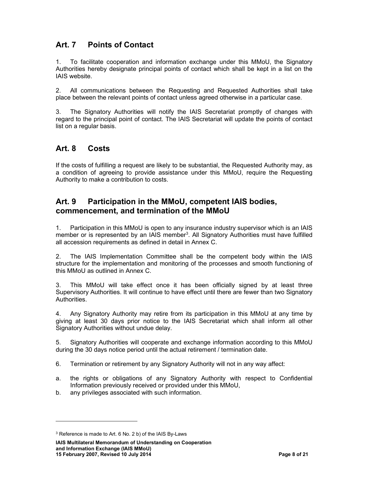# Art. 7 Points of Contact

1. To facilitate cooperation and information exchange under this MMoU, the Signatory Authorities hereby designate principal points of contact which shall be kept in a list on the IAIS website.

2. All communications between the Requesting and Requested Authorities shall take place between the relevant points of contact unless agreed otherwise in a particular case.

3. The Signatory Authorities will notify the IAIS Secretariat promptly of changes with regard to the principal point of contact. The IAIS Secretariat will update the points of contact list on a regular basis.

## Art. 8 Costs

If the costs of fulfilling a request are likely to be substantial, the Requested Authority may, as a condition of agreeing to provide assistance under this MMoU, require the Requesting Authority to make a contribution to costs.

## Art. 9 Participation in the MMoU, competent IAIS bodies, commencement, and termination of the MMoU

1. Participation in this MMoU is open to any insurance industry supervisor which is an IAIS member or is represented by an IAIS member<sup>3</sup>. All Signatory Authorities must have fulfilled all accession requirements as defined in detail in Annex C.

2. The IAIS Implementation Committee shall be the competent body within the IAIS structure for the implementation and monitoring of the processes and smooth functioning of this MMoU as outlined in Annex C.

3. This MMoU will take effect once it has been officially signed by at least three Supervisory Authorities. It will continue to have effect until there are fewer than two Signatory Authorities.

4. Any Signatory Authority may retire from its participation in this MMoU at any time by giving at least 30 days prior notice to the IAIS Secretariat which shall inform all other Signatory Authorities without undue delay.

5. Signatory Authorities will cooperate and exchange information according to this MMoU during the 30 days notice period until the actual retirement / termination date.

6. Termination or retirement by any Signatory Authority will not in any way affect:

- a. the rights or obligations of any Signatory Authority with respect to Confidential Information previously received or provided under this MMoU,
- b. any privileges associated with such information.

IAIS Multilateral Memorandum of Understanding on Cooperation and Information Exchange (IAIS MMoU) 15 February 2007, Revised 10 July 2014 **Page 8 of 21 Page 8 of 21** 

<sup>3</sup> Reference is made to Art. 6 No. 2 b) of the IAIS By-Laws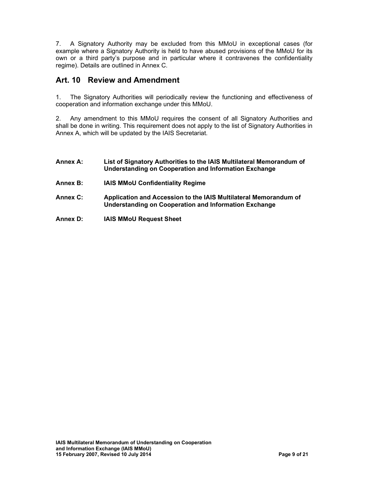7. A Signatory Authority may be excluded from this MMoU in exceptional cases (for example where a Signatory Authority is held to have abused provisions of the MMoU for its own or a third party's purpose and in particular where it contravenes the confidentiality regime). Details are outlined in Annex C.

## Art. 10 Review and Amendment

1. The Signatory Authorities will periodically review the functioning and effectiveness of cooperation and information exchange under this MMoU.

2. Any amendment to this MMoU requires the consent of all Signatory Authorities and shall be done in writing. This requirement does not apply to the list of Signatory Authorities in Annex A, which will be updated by the IAIS Secretariat.

| Annex A: | List of Signatory Authorities to the IAIS Multilateral Memorandum of<br>Understanding on Cooperation and Information Exchange |  |  |  |
|----------|-------------------------------------------------------------------------------------------------------------------------------|--|--|--|
| Annex B: | <b>IAIS MMoU Confidentiality Regime</b>                                                                                       |  |  |  |

- Annex C: Application and Accession to the IAIS Multilateral Memorandum of Understanding on Cooperation and Information Exchange
- Annex D: IAIS MMoU Request Sheet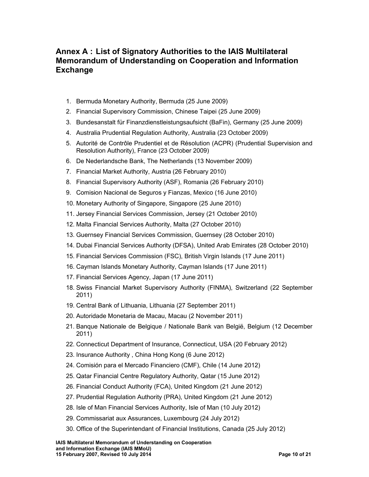## Annex A : List of Signatory Authorities to the IAIS Multilateral Memorandum of Understanding on Cooperation and Information Exchange

- 1. Bermuda Monetary Authority, Bermuda (25 June 2009)
- 2. Financial Supervisory Commission, Chinese Taipei (25 June 2009)
- 3. Bundesanstalt für Finanzdienstleistungsaufsicht (BaFin), Germany (25 June 2009)
- 4. Australia Prudential Regulation Authority, Australia (23 October 2009)
- 5. Autorité de Contrôle Prudentiel et de Résolution (ACPR) (Prudential Supervision and Resolution Authority), France (23 October 2009)
- 6. De Nederlandsche Bank, The Netherlands (13 November 2009)
- 7. Financial Market Authority, Austria (26 February 2010)
- 8. Financial Supervisory Authority (ASF), Romania (26 February 2010)
- 9. Comision Nacional de Seguros y Fianzas, Mexico (16 June 2010)
- 10. Monetary Authority of Singapore, Singapore (25 June 2010)
- 11. Jersey Financial Services Commission, Jersey (21 October 2010)
- 12. Malta Financial Services Authority, Malta (27 October 2010)
- 13. Guernsey Financial Services Commission, Guernsey (28 October 2010)
- 14. Dubai Financial Services Authority (DFSA), United Arab Emirates (28 October 2010)
- 15. Financial Services Commission (FSC), British Virgin Islands (17 June 2011)
- 16. Cayman Islands Monetary Authority, Cayman Islands (17 June 2011)
- 17. Financial Services Agency, Japan (17 June 2011)
- 18. Swiss Financial Market Supervisory Authority (FINMA), Switzerland (22 September 2011)
- 19. Central Bank of Lithuania, Lithuania (27 September 2011)
- 20. Autoridade Monetaria de Macau, Macau (2 November 2011)
- 21. Banque Nationale de Belgique / Nationale Bank van België, Belgium (12 December 2011)
- 22. Connecticut Department of Insurance, Connecticut, USA (20 February 2012)
- 23. Insurance Authority , China Hong Kong (6 June 2012)
- 24. Comisión para el Mercado Financiero (CMF), Chile (14 June 2012)
- 25. Qatar Financial Centre Regulatory Authority, Qatar (15 June 2012)
- 26. Financial Conduct Authority (FCA), United Kingdom (21 June 2012)
- 27. Prudential Regulation Authority (PRA), United Kingdom (21 June 2012)
- 28. Isle of Man Financial Services Authority, Isle of Man (10 July 2012)
- 29. Commissariat aux Assurances, Luxembourg (24 July 2012)
- 30. Office of the Superintendant of Financial Institutions, Canada (25 July 2012)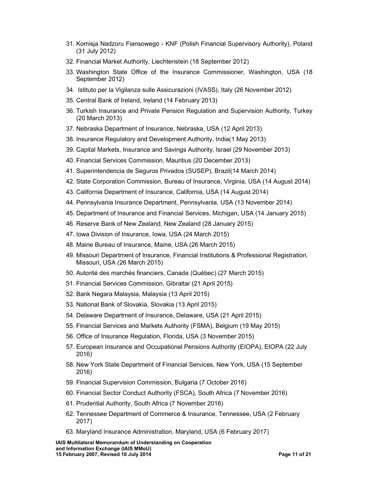- 31. Komisja Nadzoru Fiansowego KNF (Polish Financial Supervisory Authority), Poland (31 July 2012)
- 32. Financial Market Authority, Liechtenstein (18 September 2012)
- 33. Washington State Office of the Insurance Commissioner, Washington, USA (18 September 2012)
- 34. Istituto per la Vigilanza sulle Assicurazioni (IVASS), Italy (26 November 2012)
- 35. Central Bank of Ireland, Ireland (14 February 2013)
- 36. Turkish Insurance and Private Pension Regulation and Supervision Authority, Turkey (20 March 2013)
- 37. Nebraska Department of Insurance, Nebraska, USA (12 April 2013)
- 38. Insurance Regulatory and Development Authority, India(1 May 2013)
- 39. Capital Markets, Insurance and Savings Authority, Israel (29 November 2013)
- 40. Financial Services Commission, Mauritius (20 December 2013)
- 41. Superintendencia de Seguros Privados (SUSEP), Brazil(14 March 2014)
- 42. State Corporation Commission, Bureau of Insurance, Virginia, USA (14 August 2014)
- 43. California Department of Insurance, California, USA (14 August 2014)
- 44. Pennsylvania Insurance Department, Pennsylvania, USA (13 November 2014)
- 45. Department of Insurance and Financial Services, Michigan, USA (14 January 2015)
- 46. Reserve Bank of New Zealand, New Zealand (28 January 2015)
- 47. Iowa Division of Insurance, Iowa, USA (24 March 2015)
- 48. Maine Bureau of Insurance, Maine, USA (26 March 2015)
- 49. Missouri Department of Insurance, Financial Institutions & Professional Registration, Missouri, USA (26 March 2015)
- 50. Autorité des marchés financiers, Canada (Québec) (27 March 2015)
- 51. Financial Services Commission, Gibraltar (21 April 2015)
- 52. Bank Negara Malaysia, Malaysia (13 April 2015)
- 53. National Bank of Slovakia, Slovakia (13 April 2015)
- 54. Delaware Department of Insurance, Delaware, USA (21 April 2015)
- 55. Financial Services and Markets Authority (FSMA), Belgium (19 May 2015)
- 56. Office of Insurance Regulation, Florida, USA (3 November 2015)
- 57. European Insurance and Occupational Pensions Authority (EIOPA), EIOPA (22 July 2016)
- 58. New York State Department of Financial Services, New York, USA (15 September 2016)
- 59. Financial Supervision Commission, Bulgaria (7 October 2016)
- 60. Financial Sector Conduct Authority (FSCA), South Africa (7 November 2016)
- 61. Prudential Authority, South Africa (7 November 2016)
- 62. Tennessee Department of Commerce & Insurance, Tennessee, USA (2 February 2017)
- 63. Maryland Insurance Administration, Maryland, USA (6 February 2017)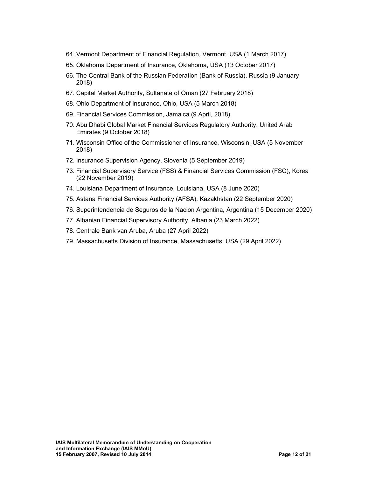- 64. Vermont Department of Financial Regulation, Vermont, USA (1 March 2017)
- 65. Oklahoma Department of Insurance, Oklahoma, USA (13 October 2017)
- 66. The Central Bank of the Russian Federation (Bank of Russia), Russia (9 January 2018)
- 67. Capital Market Authority, Sultanate of Oman (27 February 2018)
- 68. Ohio Department of Insurance, Ohio, USA (5 March 2018)
- 69. Financial Services Commission, Jamaica (9 April, 2018)
- 70. Abu Dhabi Global Market Financial Services Regulatory Authority, United Arab Emirates (9 October 2018)
- 71. Wisconsin Office of the Commissioner of Insurance, Wisconsin, USA (5 November 2018)
- 72. Insurance Supervision Agency, Slovenia (5 September 2019)
- 73. Financial Supervisory Service (FSS) & Financial Services Commission (FSC), Korea (22 November 2019)
- 74. Louisiana Department of Insurance, Louisiana, USA (8 June 2020)
- 75. Astana Financial Services Authority (AFSA), Kazakhstan (22 September 2020)
- 76. Superintendencia de Seguros de la Nacion Argentina, Argentina (15 December 2020)
- 77. Albanian Financial Supervisory Authority, Albania (23 March 2022)
- 78. Centrale Bank van Aruba, Aruba (27 April 2022)
- 79. Massachusetts Division of Insurance, Massachusetts, USA (29 April 2022)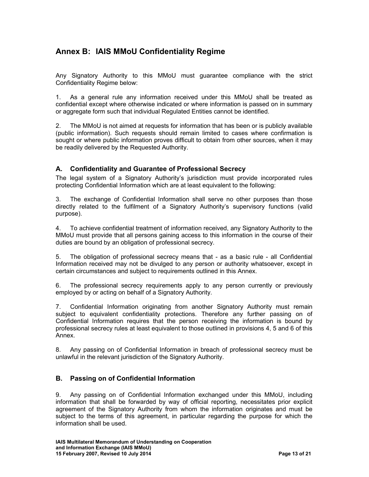## Annex B: IAIS MMoU Confidentiality Regime

Any Signatory Authority to this MMoU must guarantee compliance with the strict Confidentiality Regime below:

1. As a general rule any information received under this MMoU shall be treated as confidential except where otherwise indicated or where information is passed on in summary or aggregate form such that individual Regulated Entities cannot be identified.

2. The MMoU is not aimed at requests for information that has been or is publicly available (public information). Such requests should remain limited to cases where confirmation is sought or where public information proves difficult to obtain from other sources, when it may be readily delivered by the Requested Authority.

#### A. Confidentiality and Guarantee of Professional Secrecy

The legal system of a Signatory Authority's jurisdiction must provide incorporated rules protecting Confidential Information which are at least equivalent to the following:

3. The exchange of Confidential Information shall serve no other purposes than those directly related to the fulfilment of a Signatory Authority's supervisory functions (valid purpose).

4. To achieve confidential treatment of information received, any Signatory Authority to the MMoU must provide that all persons gaining access to this information in the course of their duties are bound by an obligation of professional secrecy.

5. The obligation of professional secrecy means that - as a basic rule - all Confidential Information received may not be divulged to any person or authority whatsoever, except in certain circumstances and subject to requirements outlined in this Annex.

6. The professional secrecy requirements apply to any person currently or previously employed by or acting on behalf of a Signatory Authority.

7. Confidential Information originating from another Signatory Authority must remain subject to equivalent confidentiality protections. Therefore any further passing on of Confidential Information requires that the person receiving the information is bound by professional secrecy rules at least equivalent to those outlined in provisions 4, 5 and 6 of this Annex.

8. Any passing on of Confidential Information in breach of professional secrecy must be unlawful in the relevant jurisdiction of the Signatory Authority.

#### B. Passing on of Confidential Information

9. Any passing on of Confidential Information exchanged under this MMoU, including information that shall be forwarded by way of official reporting, necessitates prior explicit agreement of the Signatory Authority from whom the information originates and must be subject to the terms of this agreement, in particular regarding the purpose for which the information shall be used.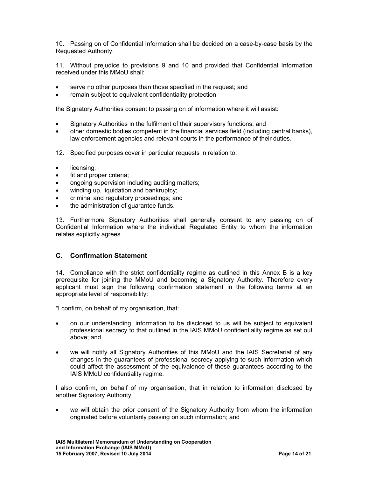10. Passing on of Confidential Information shall be decided on a case-by-case basis by the Requested Authority.

11. Without prejudice to provisions 9 and 10 and provided that Confidential Information received under this MMoU shall:

- serve no other purposes than those specified in the request; and
- remain subject to equivalent confidentiality protection

the Signatory Authorities consent to passing on of information where it will assist:

- Signatory Authorities in the fulfilment of their supervisory functions; and
- other domestic bodies competent in the financial services field (including central banks), law enforcement agencies and relevant courts in the performance of their duties.
- 12. Specified purposes cover in particular requests in relation to:
- licensing;
- fit and proper criteria;
- ongoing supervision including auditing matters;
- winding up, liquidation and bankruptcy;
- criminal and regulatory proceedings; and
- the administration of guarantee funds.

13. Furthermore Signatory Authorities shall generally consent to any passing on of Confidential Information where the individual Regulated Entity to whom the information relates explicitly agrees.

#### C. Confirmation Statement

14. Compliance with the strict confidentiality regime as outlined in this Annex B is a key prerequisite for joining the MMoU and becoming a Signatory Authority. Therefore every applicant must sign the following confirmation statement in the following terms at an appropriate level of responsibility:

"I confirm, on behalf of my organisation, that:

- on our understanding, information to be disclosed to us will be subject to equivalent professional secrecy to that outlined in the IAIS MMoU confidentiality regime as set out above; and
- we will notify all Signatory Authorities of this MMoU and the IAIS Secretariat of any changes in the guarantees of professional secrecy applying to such information which could affect the assessment of the equivalence of these guarantees according to the IAIS MMoU confidentiality regime.

I also confirm, on behalf of my organisation, that in relation to information disclosed by another Signatory Authority:

 we will obtain the prior consent of the Signatory Authority from whom the information originated before voluntarily passing on such information; and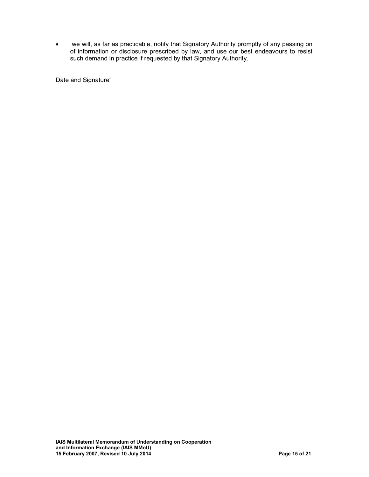we will, as far as practicable, notify that Signatory Authority promptly of any passing on of information or disclosure prescribed by law, and use our best endeavours to resist such demand in practice if requested by that Signatory Authority.

Date and Signature"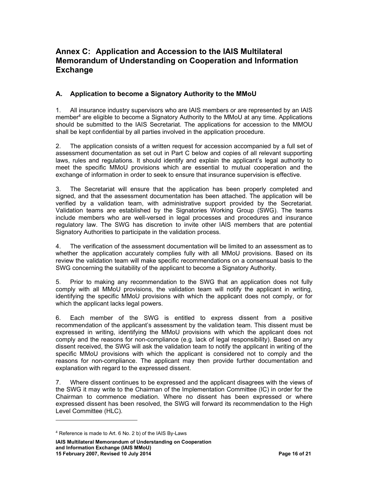## Annex C: Application and Accession to the IAIS Multilateral Memorandum of Understanding on Cooperation and Information Exchange

## A. Application to become a Signatory Authority to the MMoU

1. All insurance industry supervisors who are IAIS members or are represented by an IAIS member<sup>4</sup> are eligible to become a Signatory Authority to the MMoU at any time. Applications should be submitted to the IAIS Secretariat. The applications for accession to the MMOU shall be kept confidential by all parties involved in the application procedure.

2. The application consists of a written request for accession accompanied by a full set of assessment documentation as set out in Part C below and copies of all relevant supporting laws, rules and regulations. It should identify and explain the applicant's legal authority to meet the specific MMoU provisions which are essential to mutual cooperation and the exchange of information in order to seek to ensure that insurance supervision is effective.

3. The Secretariat will ensure that the application has been properly completed and signed, and that the assessment documentation has been attached. The application will be verified by a validation team, with administrative support provided by the Secretariat. Validation teams are established by the Signatories Working Group (SWG). The teams include members who are well-versed in legal processes and procedures and insurance regulatory law. The SWG has discretion to invite other IAIS members that are potential Signatory Authorities to participate in the validation process.

4. The verification of the assessment documentation will be limited to an assessment as to whether the application accurately complies fully with all MMoU provisions. Based on its review the validation team will make specific recommendations on a consensual basis to the SWG concerning the suitability of the applicant to become a Signatory Authority.

5. Prior to making any recommendation to the SWG that an application does not fully comply with all MMoU provisions, the validation team will notify the applicant in writing, identifying the specific MMoU provisions with which the applicant does not comply, or for which the applicant lacks legal powers.

6. Each member of the SWG is entitled to express dissent from a positive recommendation of the applicant's assessment by the validation team. This dissent must be expressed in writing, identifying the MMoU provisions with which the applicant does not comply and the reasons for non-compliance (e.g. lack of legal responsibility). Based on any dissent received, the SWG will ask the validation team to notify the applicant in writing of the specific MMoU provisions with which the applicant is considered not to comply and the reasons for non-compliance. The applicant may then provide further documentation and explanation with regard to the expressed dissent.

7. Where dissent continues to be expressed and the applicant disagrees with the views of the SWG it may write to the Chairman of the Implementation Committee (IC) in order for the Chairman to commence mediation. Where no dissent has been expressed or where expressed dissent has been resolved, the SWG will forward its recommendation to the High Level Committee (HLC).

<sup>4</sup> Reference is made to Art. 6 No. 2 b) of the IAIS By-Laws

IAIS Multilateral Memorandum of Understanding on Cooperation and Information Exchange (IAIS MMoU) 15 February 2007, Revised 10 July 2014 **Page 16 of 21** Page 16 of 21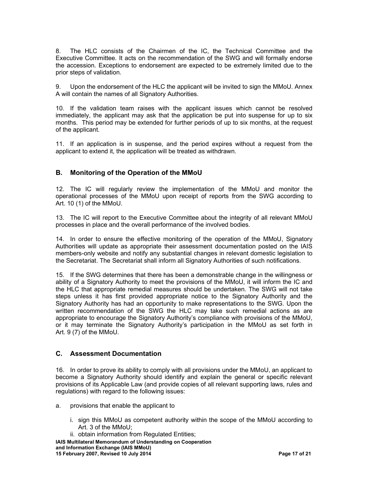8. The HLC consists of the Chairmen of the IC, the Technical Committee and the Executive Committee. It acts on the recommendation of the SWG and will formally endorse the accession. Exceptions to endorsement are expected to be extremely limited due to the prior steps of validation.

9. Upon the endorsement of the HLC the applicant will be invited to sign the MMoU. Annex A will contain the names of all Signatory Authorities.

10. If the validation team raises with the applicant issues which cannot be resolved immediately, the applicant may ask that the application be put into suspense for up to six months. This period may be extended for further periods of up to six months, at the request of the applicant.

11. If an application is in suspense, and the period expires without a request from the applicant to extend it, the application will be treated as withdrawn.

### B. Monitoring of the Operation of the MMoU

12. The IC will regularly review the implementation of the MMoU and monitor the operational processes of the MMoU upon receipt of reports from the SWG according to Art. 10 (1) of the MMoU.

13. The IC will report to the Executive Committee about the integrity of all relevant MMoU processes in place and the overall performance of the involved bodies.

14. In order to ensure the effective monitoring of the operation of the MMoU, Signatory Authorities will update as appropriate their assessment documentation posted on the IAIS members-only website and notify any substantial changes in relevant domestic legislation to the Secretariat. The Secretariat shall inform all Signatory Authorities of such notifications.

15. If the SWG determines that there has been a demonstrable change in the willingness or ability of a Signatory Authority to meet the provisions of the MMoU, it will inform the IC and the HLC that appropriate remedial measures should be undertaken. The SWG will not take steps unless it has first provided appropriate notice to the Signatory Authority and the Signatory Authority has had an opportunity to make representations to the SWG. Upon the written recommendation of the SWG the HLC may take such remedial actions as are appropriate to encourage the Signatory Authority's compliance with provisions of the MMoU, or it may terminate the Signatory Authority's participation in the MMoU as set forth in Art. 9 (7) of the MMoU.

#### C. Assessment Documentation

16. In order to prove its ability to comply with all provisions under the MMoU, an applicant to become a Signatory Authority should identify and explain the general or specific relevant provisions of its Applicable Law (and provide copies of all relevant supporting laws, rules and regulations) with regard to the following issues:

- a. provisions that enable the applicant to
	- i. sign this MMoU as competent authority within the scope of the MMoU according to Art. 3 of the MMoU;
	- ii. obtain information from Regulated Entities;

IAIS Multilateral Memorandum of Understanding on Cooperation and Information Exchange (IAIS MMoU) 15 February 2007, Revised 10 July 2014 **Page 17 of 21** Page 17 of 21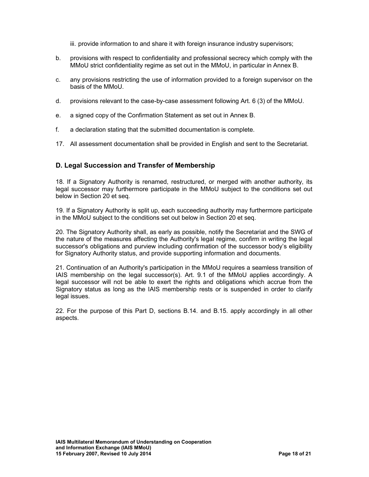iii. provide information to and share it with foreign insurance industry supervisors;

- b. provisions with respect to confidentiality and professional secrecy which comply with the MMoU strict confidentiality regime as set out in the MMoU, in particular in Annex B.
- c. any provisions restricting the use of information provided to a foreign supervisor on the basis of the MMoU.
- d. provisions relevant to the case-by-case assessment following Art. 6 (3) of the MMoU.
- e. a signed copy of the Confirmation Statement as set out in Annex B.
- f. a declaration stating that the submitted documentation is complete.
- 17. All assessment documentation shall be provided in English and sent to the Secretariat.

#### D. Legal Succession and Transfer of Membership

18. If a Signatory Authority is renamed, restructured, or merged with another authority, its legal successor may furthermore participate in the MMoU subject to the conditions set out below in Section 20 et seq.

19. If a Signatory Authority is split up, each succeeding authority may furthermore participate in the MMoU subject to the conditions set out below in Section 20 et seq.

20. The Signatory Authority shall, as early as possible, notify the Secretariat and the SWG of the nature of the measures affecting the Authority's legal regime, confirm in writing the legal successor's obligations and purview including confirmation of the successor body's eligibility for Signatory Authority status, and provide supporting information and documents.

21. Continuation of an Authority's participation in the MMoU requires a seamless transition of IAIS membership on the legal successor(s). Art. 9.1 of the MMoU applies accordingly. A legal successor will not be able to exert the rights and obligations which accrue from the Signatory status as long as the IAIS membership rests or is suspended in order to clarify legal issues.

22. For the purpose of this Part D, sections B.14. and B.15. apply accordingly in all other aspects.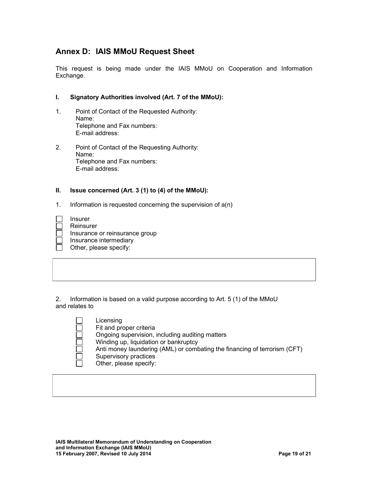## Annex D: IAIS MMoU Request Sheet

This request is being made under the IAIS MMoU on Cooperation and Information Exchange.

#### I. Signatory Authorities involved (Art. 7 of the MMoU):

- 1. Point of Contact of the Requested Authority: Name: Telephone and Fax numbers: E-mail address:
- 2. Point of Contact of the Requesting Authority: Name: Telephone and Fax numbers: E-mail address:

#### II. Issue concerned (Art. 3 (1) to (4) of the MMoU):

1. Information is requested concerning the supervision of a(n)

| <b>Insurer</b>                 |
|--------------------------------|
| Reinsurer                      |
| Insurance or reinsurance group |
| Insurance intermediary         |
| Other, please specify:         |

2. Information is based on a valid purpose according to Art. 5 (1) of the MMoU and relates to

| Li           |
|--------------|
| Fi           |
| O            |
| $\mathsf{W}$ |
| Aı           |
| $\mathsf{S}$ |
|              |
|              |

censing it and proper criteria ngoing supervision, including auditing matters inding up, liquidation or bankruptcy nti money laundering (AML) or combating the financing of terrorism (CFT) upervisory practices ther, please specify: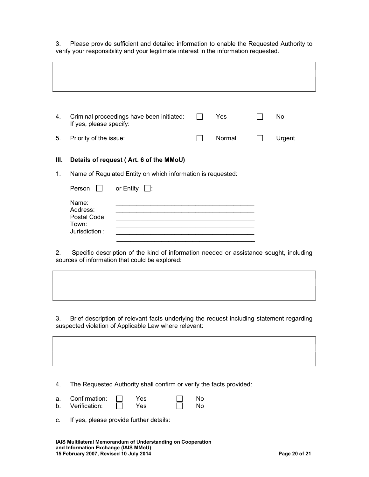3. Please provide sufficient and detailed information to enable the Requested Authority to verify your responsibility and your legitimate interest in the information requested.

| $\mathbf{4}$ .                                                                                                                                 | Criminal proceedings have been initiated:<br>If yes, please specify: |  |  | Yes.   |  | No     |
|------------------------------------------------------------------------------------------------------------------------------------------------|----------------------------------------------------------------------|--|--|--------|--|--------|
| 5.                                                                                                                                             | Priority of the issue:                                               |  |  | Normal |  | Urgent |
| Ш.                                                                                                                                             | Details of request (Art. 6 of the MMoU)                              |  |  |        |  |        |
| $\mathbf{1}$ .                                                                                                                                 | Name of Regulated Entity on which information is requested:          |  |  |        |  |        |
|                                                                                                                                                | Person<br>or Entity $\Box$ :                                         |  |  |        |  |        |
|                                                                                                                                                | Name:                                                                |  |  |        |  |        |
|                                                                                                                                                | Address:<br>Postal Code:                                             |  |  |        |  |        |
|                                                                                                                                                | Town:<br>Jurisdiction:                                               |  |  |        |  |        |
|                                                                                                                                                |                                                                      |  |  |        |  |        |
| Specific description of the kind of information needed or assistance sought, including<br>2.<br>sources of information that could be explored: |                                                                      |  |  |        |  |        |

3. Brief description of relevant facts underlying the request including statement regarding suspected violation of Applicable Law where relevant:

4. The Requested Authority shall confirm or verify the facts provided:

| Confirmation: | 'es |  |
|---------------|-----|--|
| Verification: | ∕es |  |

c. If yes, please provide further details: